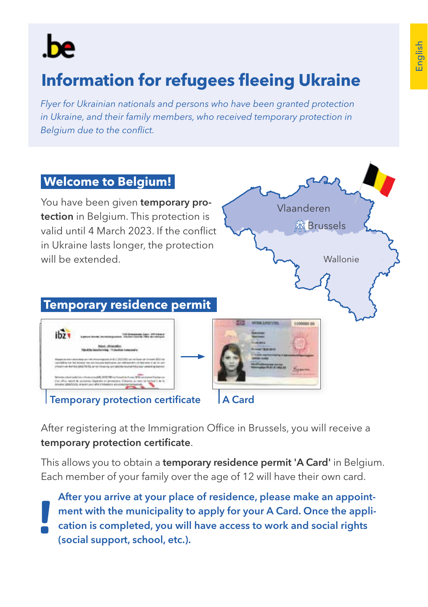

# **Information for refugees fleeing Ukraine**

*Flyer for Ukrainian nationals and persons who have been granted protection in Ukraine, and their family members, who received temporary protection in Belgium due to the conflict.*



After registering at the Immigration Office in Brussels, you will receive a temporary protection certificate.

This allows you to obtain a temporary residence permit 'A Card' in Belgium. Each member of your family over the age of 12 will have their own card.

After you arrive at your place of residence, please make an appointment with the municipality to apply for your A Card. Once the application is completed, you will have access to work and social rights (social support, school, etc.).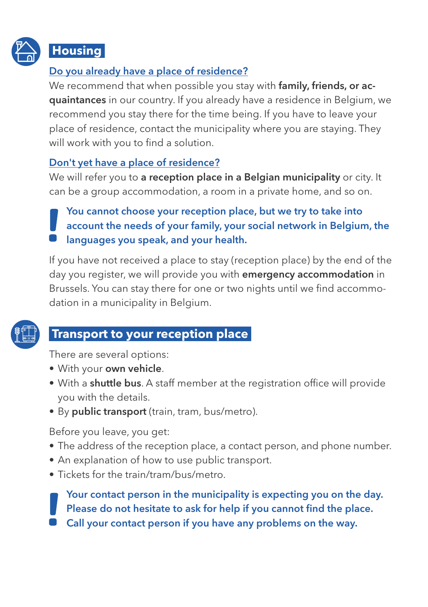

# **Housing**

### Do you already have a place of residence?

We recommend that when possible you stay with family, friends, or acquaintances in our country. If you already have a residence in Belgium, we recommend you stay there for the time being. If you have to leave your place of residence, contact the municipality where you are staying. They will work with you to find a solution.

#### Don't yet have a place of residence?

We will refer you to a reception place in a Belgian municipality or city. It can be a group accommodation, a room in a private home, and so on.

You cannot choose your reception place, but we try to take into account the needs of your family, your social network in Belgium, the languages you speak, and your health.

If you have not received a place to stay (reception place) by the end of the day you register, we will provide you with emergency accommodation in Brussels. You can stay there for one or two nights until we find accommodation in a municipality in Belgium.



# **Transport to your reception place**

There are several options:

- With your own vehicle.
- With a shuttle bus. A staff member at the registration office will provide you with the details.
- By public transport (train, tram, bus/metro).

Before you leave, you get:

- The address of the reception place, a contact person, and phone number.
- An explanation of how to use public transport.
- Tickets for the train/tram/bus/metro.

Your contact person in the municipality is expecting you on the day. Please do not hesitate to ask for help if you cannot find the place. Call your contact person if you have any problems on the way.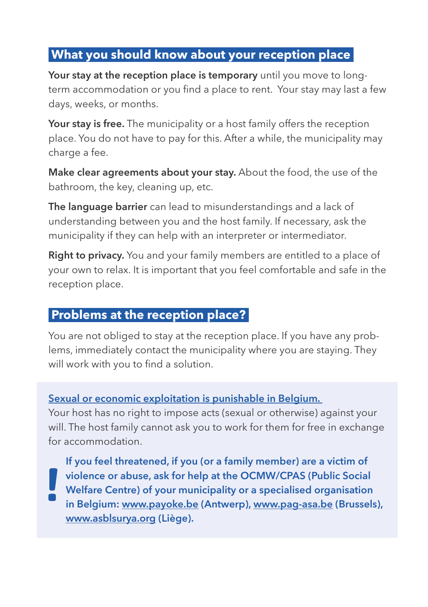### **What you should know about your reception place**

Your stay at the reception place is temporary until you move to longterm accommodation or you find a place to rent. Your stay may last a few days, weeks, or months.

Your stay is free. The municipality or a host family offers the reception place. You do not have to pay for this. After a while, the municipality may charge a fee.

Make clear agreements about your stay. About the food, the use of the bathroom, the key, cleaning up, etc.

The language barrier can lead to misunderstandings and a lack of understanding between you and the host family. If necessary, ask the municipality if they can help with an interpreter or intermediator.

Right to privacy. You and your family members are entitled to a place of your own to relax. It is important that you feel comfortable and safe in the reception place.

### **Problems at the reception place?**

You are not obliged to stay at the reception place. If you have any problems, immediately contact the municipality where you are staying. They will work with you to find a solution.

#### Sexual or economic exploitation is punishable in Belgium.

Your host has no right to impose acts (sexual or otherwise) against your will. The host family cannot ask you to work for them for free in exchange for accommodation.

If you feel threatened, if you (or a family member) are a victim of violence or abuse, ask for help at the OCMW/CPAS (Public Social Welfare Centre) of your municipality or a specialised organisation in Belgium: www.payoke.be (Antwerp), www.pag-asa.be (Brussels), www.asblsurya.org (Liège).